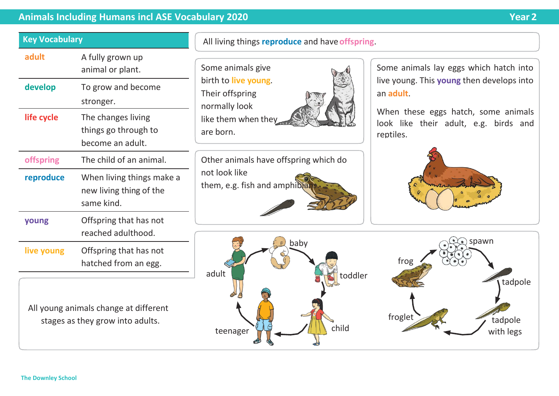## **Animals Including Humans incl ASE Vocabulary 2020 Year 2**

tadpole

frog

## All living things **reproduce** and have**offspring**. Some animals give birth to **live young**. Their offspring normally look like them when they are born. Some animals lay eggs which hatch into live young. This **young** then develops into an **adult**. When these eggs hatch, some animals look like their adult, e.g. birds and reptiles. Other animals have offspring which do not look like them, e.g. fish and amphibia baby spawn and contract the spawn adult toddler All young animals change at different stages as they grow into adults. The tadpole of the stages as they grow into adults. teenager  $\sqrt{1+\frac{1}{2}}$  child  $\sqrt{1+\frac{1}{2}}$  with legs **Key Vocabulary** adult A fully grown up animal or plant. **develop** To grow and become stronger. **life cycle** The changes living things go through to become an adult. **offspring** The child of an animal. **reproduce** When living things make a new living thing of the same kind. **young** Offspring that has not reached adulthood. **live young** Offspring that has not hatched from an egg.